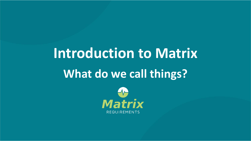# **Introduction to Matrix What do we call things?**

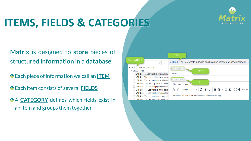# **ITEMS, FIELDS & CATEGORIES**



**Matrix** is designed to **store** pieces of structured **information** in a **database**.

- Each piece of information we call an **ITEM**
- Each item consists of several **FIELDS**
- **A CATEGORY** defines which fields exist in an item and groups them together

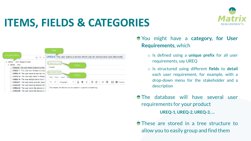## **ITEMS, FIELDS & CATEGORIES**





You might have a **category, for User Requirements**, which

- o Is defined using a **unique prefix** for all user requirements, say UREQ
- o Is structured using different **fields** to **detail** each user requirement, for example, with a drop-down menu for the stakeholder and a description

**The database will have several user** requirements for your product **UREQ-1, UREQ-2, UREQ-3, …**

**These are stored in a tree structure to** allow you to easily group and find them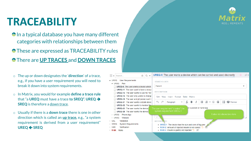### **TRACEABILITY**

- **In a typical database you have many different** categories with relationships between them
- **These are expressed as TRACEABILITY rules** There are **UP TRACES** and **DOWN TRACES**
- o The up or down designates the '**direction**' of a trace, e.g., if you have a user requirement you will need to break it down into system requirements.
- o In Matrix, you would for example **define a trace rule** that "a **UREQ** must have a trace **to SREQ". UREQ** ➔ **SREQ** is therefore a down trace.
- o Usually if there is a **down trace** there is one in other direction which is called an **up trace,** e.g., "a system requirement is derived from a user requirement" **UREQ SREQ**



. RISK-2 Amount of injected insulin is not correct • RISK-3 Insulin is (partly) not injected  $\mathbb{D} \times$ 

- **SREQ**
- Verification **D** VER
- **RISK Risks**

**VAI** 

⊿ UREQ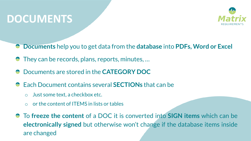### **DOCUMENTS**



- **Documents** help you to get data from the **database** into **PDFs, Word or Excel**
- They can be records, plans, reports, minutes, …
- Documents are stored in the **CATEGORY DOC**
- Each Document contains several **SECTIONs** that can be
	- o Just some text, a checkbox etc.
	- $\circ$  or the content of ITEMS in lists or tables
- To **freeze the content** of a DOC it is converted into **SIGN items** which can be **electronically signed** but otherwise won't change if the database items inside are changed